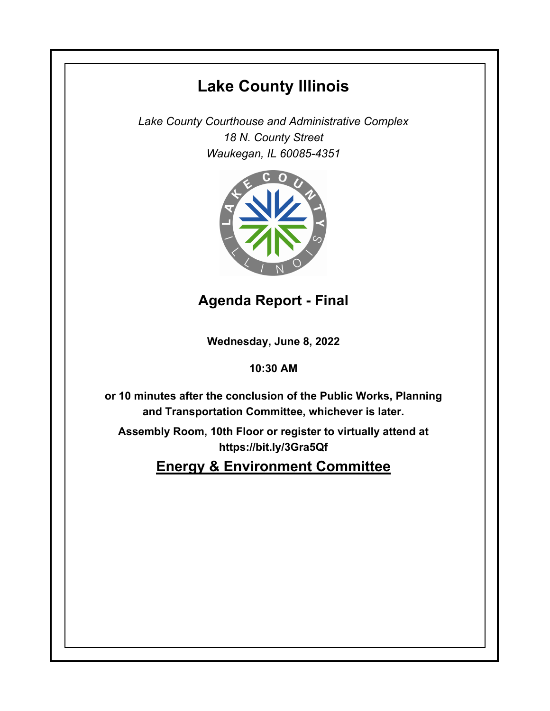# **Lake County Illinois**

*Lake County Courthouse and Administrative Complex 18 N. County Street Waukegan, IL 60085-4351*



## **Agenda Report - Final**

**Wednesday, June 8, 2022**

### **10:30 AM**

**or 10 minutes after the conclusion of the Public Works, Planning and Transportation Committee, whichever is later.**

**Assembly Room, 10th Floor or register to virtually attend at https://bit.ly/3Gra5Qf**

**Energy & Environment Committee**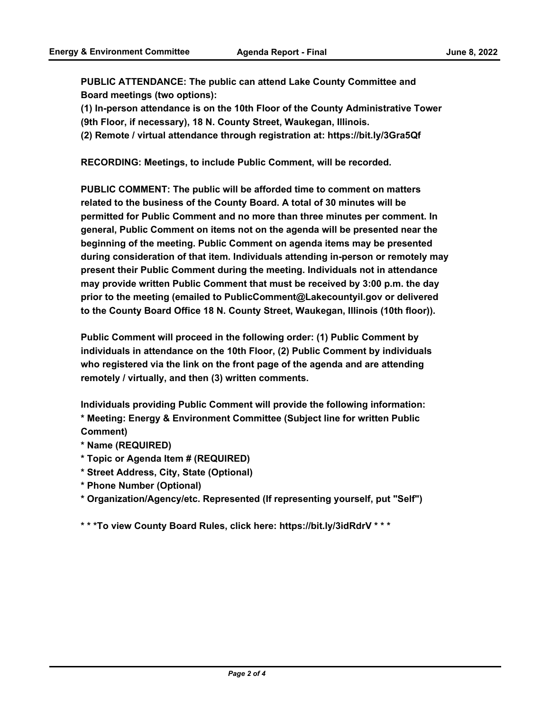**PUBLIC ATTENDANCE: The public can attend Lake County Committee and Board meetings (two options):** 

**(1) In-person attendance is on the 10th Floor of the County Administrative Tower** 

**(9th Floor, if necessary), 18 N. County Street, Waukegan, Illinois.**

**(2) Remote / virtual attendance through registration at: https://bit.ly/3Gra5Qf**

**RECORDING: Meetings, to include Public Comment, will be recorded.**

**PUBLIC COMMENT: The public will be afforded time to comment on matters related to the business of the County Board. A total of 30 minutes will be permitted for Public Comment and no more than three minutes per comment. In general, Public Comment on items not on the agenda will be presented near the beginning of the meeting. Public Comment on agenda items may be presented during consideration of that item. Individuals attending in-person or remotely may present their Public Comment during the meeting. Individuals not in attendance may provide written Public Comment that must be received by 3:00 p.m. the day prior to the meeting (emailed to PublicComment@Lakecountyil.gov or delivered to the County Board Office 18 N. County Street, Waukegan, Illinois (10th floor)).** 

**Public Comment will proceed in the following order: (1) Public Comment by individuals in attendance on the 10th Floor, (2) Public Comment by individuals who registered via the link on the front page of the agenda and are attending remotely / virtually, and then (3) written comments.** 

**Individuals providing Public Comment will provide the following information: \* Meeting: Energy & Environment Committee (Subject line for written Public Comment)**

- **\* Name (REQUIRED)**
- **\* Topic or Agenda Item # (REQUIRED)**
- **\* Street Address, City, State (Optional)**
- **\* Phone Number (Optional)**

**\* Organization/Agency/etc. Represented (If representing yourself, put "Self")**

**\* \* \*To view County Board Rules, click here: https://bit.ly/3idRdrV \* \* \***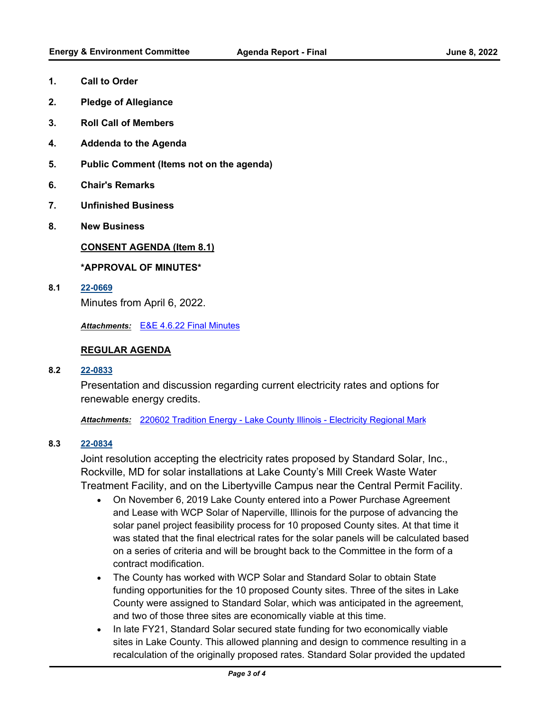- **1. Call to Order**
- **2. Pledge of Allegiance**
- **3. Roll Call of Members**
- **4. Addenda to the Agenda**
- **5. Public Comment (Items not on the agenda)**
- **6. Chair's Remarks**
- **7. Unfinished Business**
- **8. New Business**

#### **CONSENT AGENDA (Item 8.1)**

#### **\*APPROVAL OF MINUTES\***

**8.1 [22-0669](http://lakecounty.legistar.com/gateway.aspx?m=l&id=/matter.aspx?key=26455)**

Minutes from April 6, 2022.

*Attachments:* [E&E 4.6.22 Final Minutes](http://lakecounty.legistar.com/gateway.aspx?M=F&ID=1536220f-5779-43c9-afef-eab744c8fcf7.pdf)

#### **REGULAR AGENDA**

#### **8.2 [22-0833](http://lakecounty.legistar.com/gateway.aspx?m=l&id=/matter.aspx?key=26618)**

Presentation and discussion regarding current electricity rates and options for renewable energy credits.

Attachments: [220602 Tradition Energy - Lake County Illinois - Electricity Regional Mark](http://lakecounty.legistar.com/gateway.aspx?M=F&ID=6b2766e7-72ec-4272-ae4b-05b24c8d3296.pdf)

#### **8.3 [22-0834](http://lakecounty.legistar.com/gateway.aspx?m=l&id=/matter.aspx?key=26619)**

Joint resolution accepting the electricity rates proposed by Standard Solar, Inc., Rockville, MD for solar installations at Lake County's Mill Creek Waste Water Treatment Facility, and on the Libertyville Campus near the Central Permit Facility.

- · On November 6, 2019 Lake County entered into a Power Purchase Agreement and Lease with WCP Solar of Naperville, Illinois for the purpose of advancing the solar panel project feasibility process for 10 proposed County sites. At that time it was stated that the final electrical rates for the solar panels will be calculated based on a series of criteria and will be brought back to the Committee in the form of a contract modification.
- · The County has worked with WCP Solar and Standard Solar to obtain State funding opportunities for the 10 proposed County sites. Three of the sites in Lake County were assigned to Standard Solar, which was anticipated in the agreement, and two of those three sites are economically viable at this time.
- · In late FY21, Standard Solar secured state funding for two economically viable sites in Lake County. This allowed planning and design to commence resulting in a recalculation of the originally proposed rates. Standard Solar provided the updated